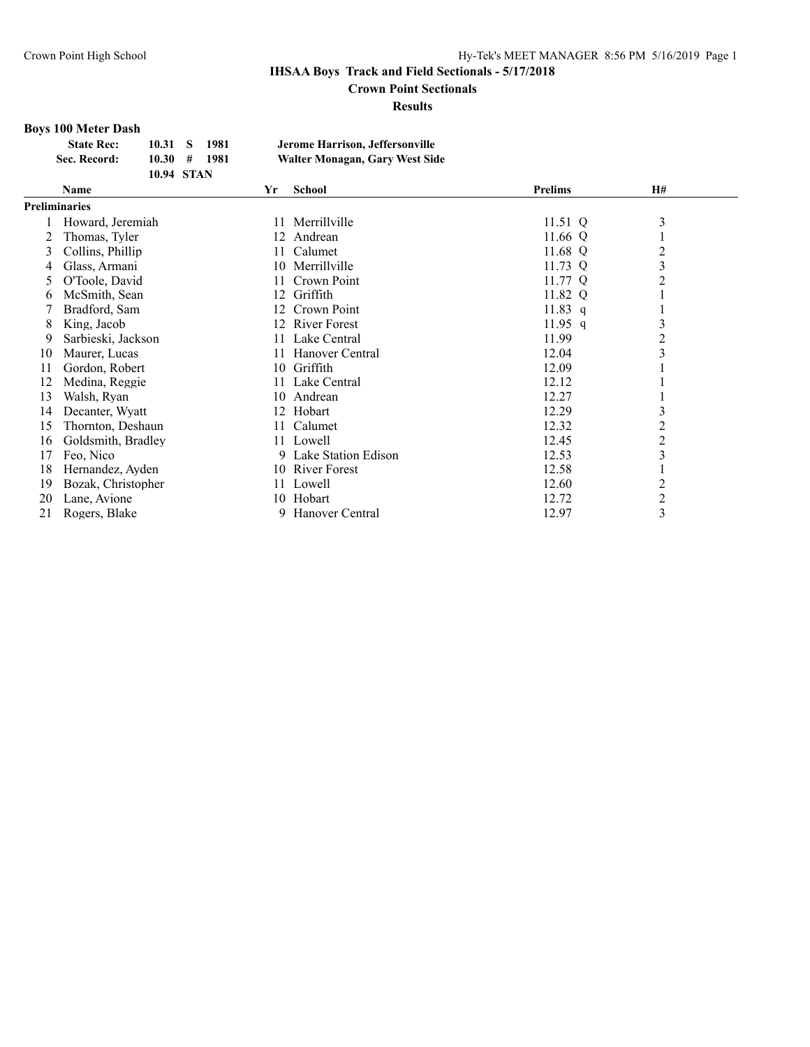**Crown Point Sectionals**

**Results**

# **Boys 100 Meter Dash**

| <b>State Rec:</b> | 1981<br>10.31 S       | Jerome Harrison, Jeffersonville |
|-------------------|-----------------------|---------------------------------|
| Sec. Record:      | $10.30 \pm 1$<br>1981 | Walter Monagan, Gary West Side  |
|                   | 10.94 STAN            |                                 |

|                      | Name               | Yr   | <b>School</b>         | <b>Prelims</b> | <b>H#</b>        |  |
|----------------------|--------------------|------|-----------------------|----------------|------------------|--|
| <b>Preliminaries</b> |                    |      |                       |                |                  |  |
|                      | Howard, Jeremiah   | 11   | Merrillville          | 11.51 $Q$      | 3                |  |
|                      | Thomas, Tyler      | 12   | Andrean               | 11.66 Q        |                  |  |
| 3                    | Collins, Phillip   | 11.  | Calumet               | 11.68 Q        | 2                |  |
| 4                    | Glass, Armani      | 10   | Merrillville          | 11.73 Q        | $\overline{3}$   |  |
| 5                    | O'Toole, David     | 11   | Crown Point           | 11.77 Q        | $\overline{2}$   |  |
| 6                    | McSmith, Sean      | 12   | Griffith              | 11.82 Q        |                  |  |
|                      | Bradford, Sam      | 12   | Crown Point           | $11.83$ q      |                  |  |
| 8                    | King, Jacob        | 12   | <b>River Forest</b>   | 11.95 q        | 3                |  |
| 9                    | Sarbieski, Jackson | 11   | Lake Central          | 11.99          | $\overline{2}$   |  |
| 10                   | Maurer, Lucas      | 11   | Hanover Central       | 12.04          | $\overline{3}$   |  |
| 11                   | Gordon, Robert     | 10   | Griffith              | 12.09          |                  |  |
| 12                   | Medina, Reggie     | 11   | Lake Central          | 12.12          |                  |  |
| 13                   | Walsh, Ryan        | 10   | Andrean               | 12.27          |                  |  |
| 14                   | Decanter, Wyatt    | 12   | Hobart                | 12.29          | 3                |  |
| 15                   | Thornton, Deshaun  | 11 - | Calumet               | 12.32          | $\overline{c}$   |  |
| 16                   | Goldsmith, Bradley |      | 11 Lowell             | 12.45          | $\overline{c}$   |  |
| 17                   | Feo, Nico          |      | 9 Lake Station Edison | 12.53          | $\overline{3}$   |  |
| 18                   | Hernandez, Ayden   |      | 10 River Forest       | 12.58          |                  |  |
| 19                   | Bozak, Christopher | 11 - | Lowell                | 12.60          | $\overline{c}$   |  |
| 20                   | Lane, Avione       | 10   | Hobart                | 12.72          | $\boldsymbol{2}$ |  |
| 21                   | Rogers, Blake      | 9    | Hanover Central       | 12.97          | $\overline{3}$   |  |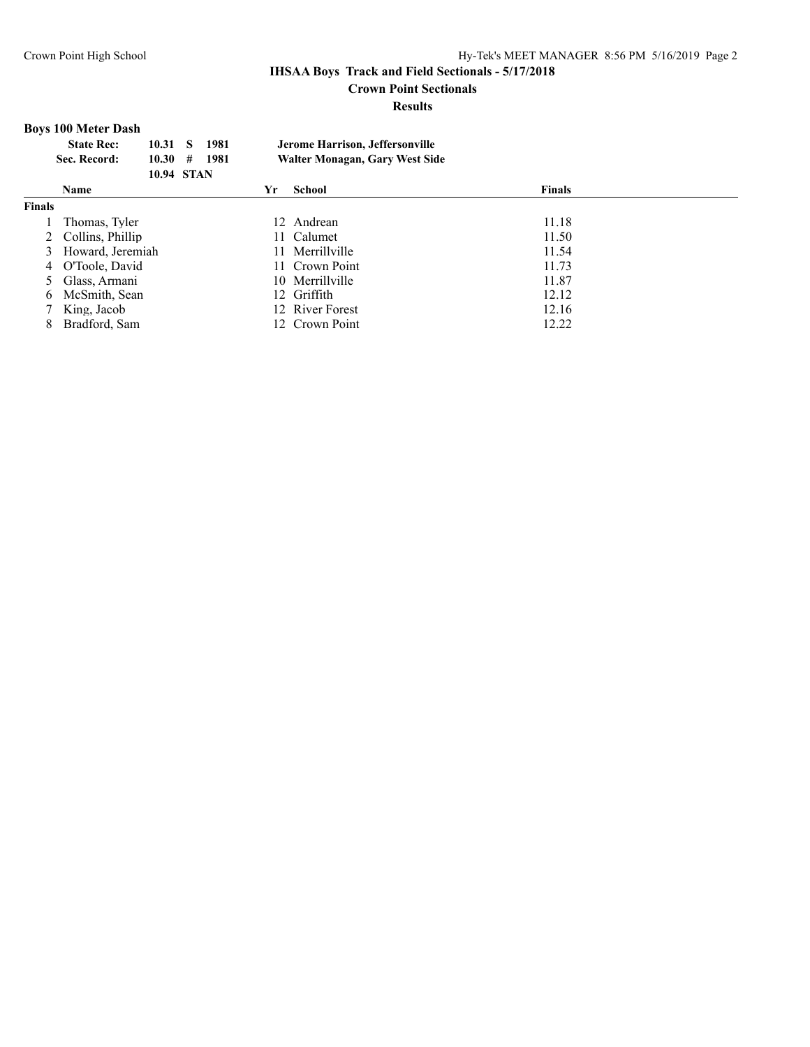## **Crown Point Sectionals**

#### **Results**

## **Boys 100 Meter Dash**

| <b>State Rec:</b> | 10.31 S       | 1981 | Jerome Harrison, Jeffersonville |
|-------------------|---------------|------|---------------------------------|
| Sec. Record:      | $10.30 \pm 1$ | 1981 | Walter Monagan, Gary West Side  |
|                   | 10.94 STAN    |      |                                 |

|               | <b>Name</b>        | Yr. | School          | <b>Finals</b> |  |
|---------------|--------------------|-----|-----------------|---------------|--|
| <b>Finals</b> |                    |     |                 |               |  |
|               | Thomas, Tyler      |     | 12 Andrean      | 11.18         |  |
|               | 2 Collins, Phillip |     | 11 Calumet      | 11.50         |  |
|               | 3 Howard, Jeremiah |     | 11 Merrillyille | 11.54         |  |
|               | 4 O'Toole, David   |     | 11 Crown Point  | 11.73         |  |
|               | 5 Glass, Armani    |     | 10 Merrillyille | 11.87         |  |
|               | 6 McSmith, Sean    |     | 12 Griffith     | 12.12         |  |
|               | 7 King, Jacob      |     | 12 River Forest | 12.16         |  |
|               | Bradford, Sam      |     | 12 Crown Point  | 12.22         |  |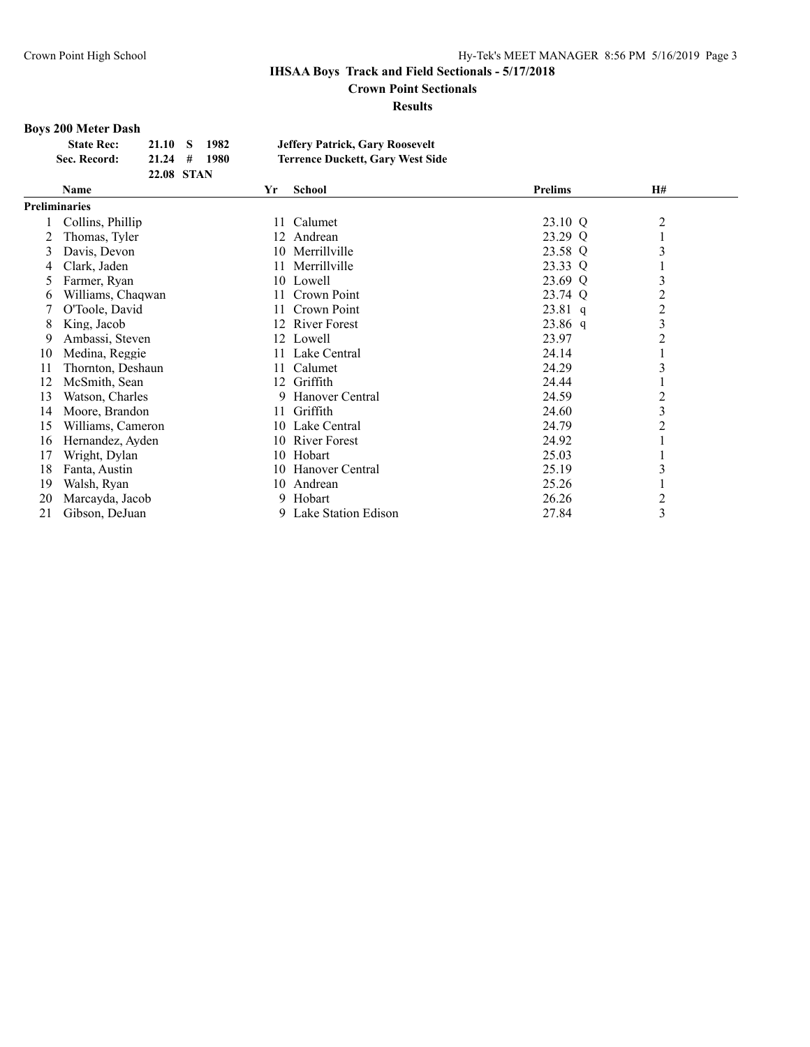**Crown Point Sectionals**

**Results**

# **Boys 200 Meter Dash**

| <b>State Rec:</b> | 21.10 S<br>1982      | <b>Jeffery Patrick, Gary Roosevelt</b>  |
|-------------------|----------------------|-----------------------------------------|
| Sec. Record:      | $21.24$ #<br>- 1980- | <b>Terrence Duckett, Gary West Side</b> |
|                   | 22.08 STAN           |                                         |

|               | <b>Name</b>       | Yr  | <b>School</b>       | <b>Prelims</b> | <b>H#</b>      |
|---------------|-------------------|-----|---------------------|----------------|----------------|
| Preliminaries |                   |     |                     |                |                |
|               | Collins, Phillip  | 11. | Calumet             | 23.10 Q        | 2              |
|               | Thomas, Tyler     |     | 12 Andrean          | 23.29 Q        |                |
| 3             | Davis, Devon      |     | 10 Merrillville     | 23.58 Q        | 3              |
| 4             | Clark, Jaden      | 11  | Merrillville        | 23.33 Q        |                |
| 5             | Farmer, Ryan      |     | 10 Lowell           | 23.69 Q        | 3              |
| 6             | Williams, Chagwan | 11  | Crown Point         | 23.74 Q        | $\overline{2}$ |
|               | O'Toole, David    | 11. | Crown Point         | $23.81$ q      | $\overline{2}$ |
| 8             | King, Jacob       |     | 12 River Forest     | $23.86$ q      | 3              |
| 9             | Ambassi, Steven   |     | 12 Lowell           | 23.97          | 2              |
| 10            | Medina, Reggie    |     | 11 Lake Central     | 24.14          |                |
| 11            | Thornton, Deshaun | 11  | Calumet             | 24.29          | 3              |
| 12            | McSmith, Sean     |     | 12 Griffith         | 24.44          |                |
| 13            | Watson, Charles   | 9.  | Hanover Central     | 24.59          | 2              |
| 14            | Moore, Brandon    | 11  | Griffith            | 24.60          | 3              |
| 15            | Williams, Cameron |     | 10 Lake Central     | 24.79          | 2              |
| 16            | Hernandez, Ayden  |     | 10 River Forest     | 24.92          |                |
| 17            | Wright, Dylan     |     | 10 Hobart           | 25.03          |                |
| 18            | Fanta, Austin     |     | 10 Hanover Central  | 25.19          | 3              |
| 19            | Walsh, Ryan       |     | 10 Andrean          | 25.26          |                |
| 20            | Marcayda, Jacob   |     | 9 Hobart            | 26.26          | $\overline{c}$ |
| 21            | Gibson, DeJuan    | 9.  | Lake Station Edison | 27.84          | $\overline{3}$ |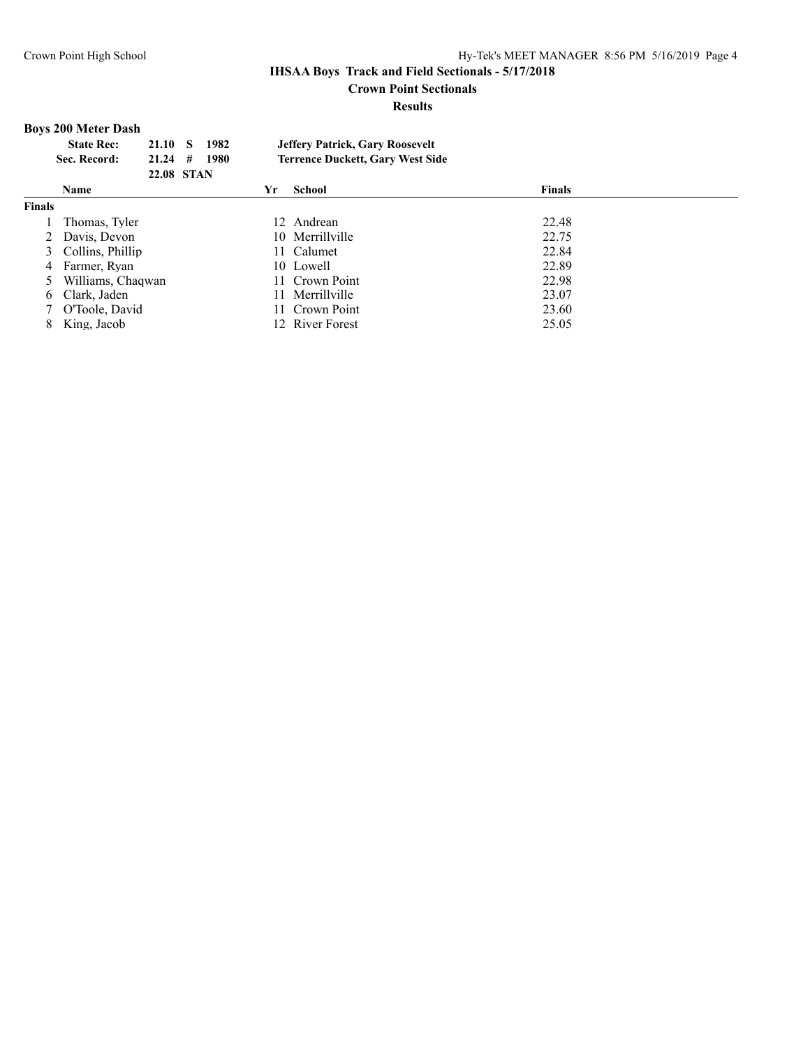## **Crown Point Sectionals**

#### **Results**

# **Boys 200 Meter Dash**

| <b>State Rec:</b> | 21.10 S<br>1982     | <b>Jeffery Patrick, Gary Roosevelt</b>  |
|-------------------|---------------------|-----------------------------------------|
| Sec. Record:      | $21.24$ #<br>- 1980 | <b>Terrence Duckett, Gary West Side</b> |
|                   | 22.08 STAN          |                                         |

|        | Name               | Yr | School          | <b>Finals</b> |
|--------|--------------------|----|-----------------|---------------|
| Finals |                    |    |                 |               |
|        | Thomas, Tyler      |    | 12 Andrean      | 22.48         |
|        | 2 Davis, Devon     |    | 10 Merrillyille | 22.75         |
|        | 3 Collins, Phillip |    | 11 Calumet      | 22.84         |
| 4      | Farmer, Ryan       |    | 10 Lowell       | 22.89         |
| 5      | Williams, Chagwan  |    | 11 Crown Point  | 22.98         |
| 6      | Clark, Jaden       |    | 11 Merrillville | 23.07         |
|        | O'Toole, David     |    | 11 Crown Point  | 23.60         |
| 8      | King, Jacob        |    | 12 River Forest | 25.05         |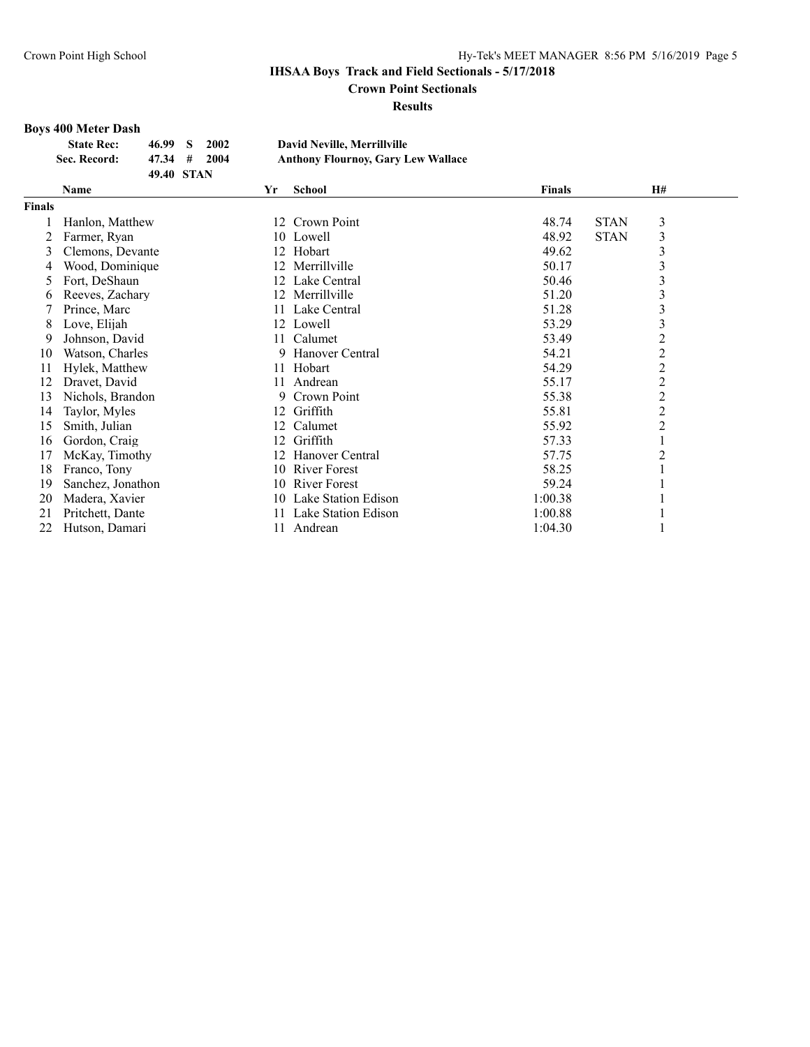**Crown Point Sectionals**

**Results**

# **Boys 400 Meter Dash**

| <b>State Rec:</b> | 46.99 S    | 2002                       | David Neville, Merrillyille               |
|-------------------|------------|----------------------------|-------------------------------------------|
| Sec. Record:      |            | $47.34 \quad # \quad 2004$ | <b>Anthony Flournoy, Gary Lew Wallace</b> |
|                   | 49.40 STAN |                            |                                           |

|               | Name              | Yr | <b>School</b>          | <b>Finals</b> | H#                      |
|---------------|-------------------|----|------------------------|---------------|-------------------------|
| <b>Finals</b> |                   |    |                        |               |                         |
|               | Hanlon, Matthew   | 12 | Crown Point            | 48.74         | 3<br><b>STAN</b>        |
| 2             | Farmer, Ryan      |    | 10 Lowell              | 48.92         | 3<br><b>STAN</b>        |
| 3             | Clemons, Devante  | 12 | Hobart                 | 49.62         | 3                       |
| 4             | Wood, Dominique   | 12 | Merrillville           | 50.17         | $\overline{\mathbf{3}}$ |
| 5.            | Fort, DeShaun     | 12 | Lake Central           | 50.46         | 3                       |
| 6             | Reeves, Zachary   | 12 | Merrillville           | 51.20         | 3                       |
|               | Prince, Marc      | 11 | Lake Central           | 51.28         | $\mathfrak{Z}$          |
| 8             | Love, Elijah      | 12 | Lowell                 | 53.29         | $\mathfrak{Z}$          |
| 9             | Johnson, David    | 11 | Calumet                | 53.49         | $\mathfrak{2}$          |
| 10            | Watson, Charles   | 9  | Hanover Central        | 54.21         | $\mathfrak{2}$          |
| 11            | Hylek, Matthew    | 11 | Hobart                 | 54.29         | $\overline{c}$          |
| 12            | Dravet, David     | 11 | Andrean                | 55.17         | $\overline{c}$          |
| 13            | Nichols, Brandon  | 9  | Crown Point            | 55.38         | $\mathfrak{2}$          |
| 14            | Taylor, Myles     | 12 | Griffith               | 55.81         | $\mathfrak{2}$          |
| 15            | Smith, Julian     | 12 | Calumet                | 55.92         | 2                       |
| 16            | Gordon, Craig     | 12 | Griffith               | 57.33         |                         |
| 17            | McKay, Timothy    | 12 | Hanover Central        | 57.75         | $\overline{2}$          |
| 18            | Franco, Tony      | 10 | <b>River Forest</b>    | 58.25         |                         |
| 19            | Sanchez, Jonathon | 10 | <b>River Forest</b>    | 59.24         |                         |
| 20            | Madera, Xavier    |    | 10 Lake Station Edison | 1:00.38       |                         |
| 21            | Pritchett, Dante  | 11 | Lake Station Edison    | 1:00.88       |                         |
| 22            | Hutson, Damari    | 11 | Andrean                | 1:04.30       |                         |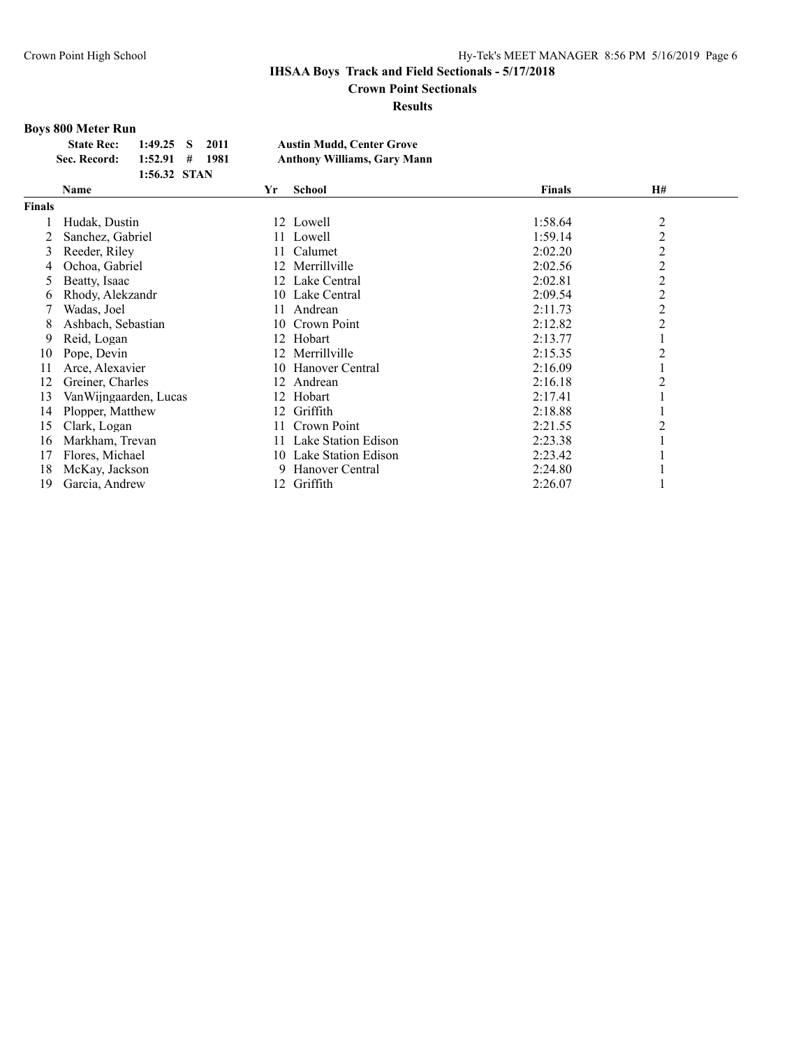# **Crown Point Sectionals**

**Results**

# **Boys 800 Meter Run**

| <b>State Rec:</b> | 1:49.25 S 2011   |  | <b>Austin Mudd, Center Grove</b>   |
|-------------------|------------------|--|------------------------------------|
| Sec. Record:      | $1:52.91$ # 1981 |  | <b>Anthony Williams, Gary Mann</b> |
|                   | 1:56.32 STAN     |  |                                    |

|               | Name                   | Yr | <b>School</b>          | <b>Finals</b> | H#             |  |
|---------------|------------------------|----|------------------------|---------------|----------------|--|
| <b>Finals</b> |                        |    |                        |               |                |  |
|               | Hudak, Dustin          |    | 12 Lowell              | 1:58.64       | $\overline{2}$ |  |
|               | Sanchez, Gabriel       |    | 11 Lowell              | 1:59.14       | 2              |  |
| 3             | Reeder, Riley          |    | Calumet                | 2:02.20       | 2              |  |
| 4             | Ochoa, Gabriel         | 12 | Merrillville           | 2:02.56       | $\overline{c}$ |  |
| 5             | Beatty, Isaac          |    | 12 Lake Central        | 2:02.81       | 2              |  |
| 6             | Rhody, Alekzandr       |    | 10 Lake Central        | 2:09.54       | $\overline{c}$ |  |
|               | Wadas, Joel            |    | Andrean                | 2:11.73       | $\overline{c}$ |  |
| 8             | Ashbach, Sebastian     | 10 | Crown Point            | 2:12.82       | 2              |  |
| 9             | Reid, Logan            |    | 12 Hobart              | 2:13.77       |                |  |
| 10            | Pope, Devin            | 12 | Merrillville           | 2:15.35       | 2              |  |
| 11            | Arce, Alexavier        |    | 10 Hanover Central     | 2:16.09       |                |  |
| 12            | Greiner, Charles       | 12 | Andrean                | 2:16.18       |                |  |
| 13            | Van Wijngaarden, Lucas |    | 12 Hobart              | 2:17.41       |                |  |
| 14            | Plopper, Matthew       | 12 | Griffith               | 2:18.88       |                |  |
| 15            | Clark, Logan           |    | 11 Crown Point         | 2:21.55       | 2              |  |
| 16            | Markham, Trevan        |    | 11 Lake Station Edison | 2:23.38       |                |  |
| 17            | Flores, Michael        |    | 10 Lake Station Edison | 2:23.42       |                |  |
| 18            | McKay, Jackson         | 9. | Hanover Central        | 2:24.80       |                |  |
| 19            | Garcia, Andrew         | 12 | Griffith               | 2:26.07       |                |  |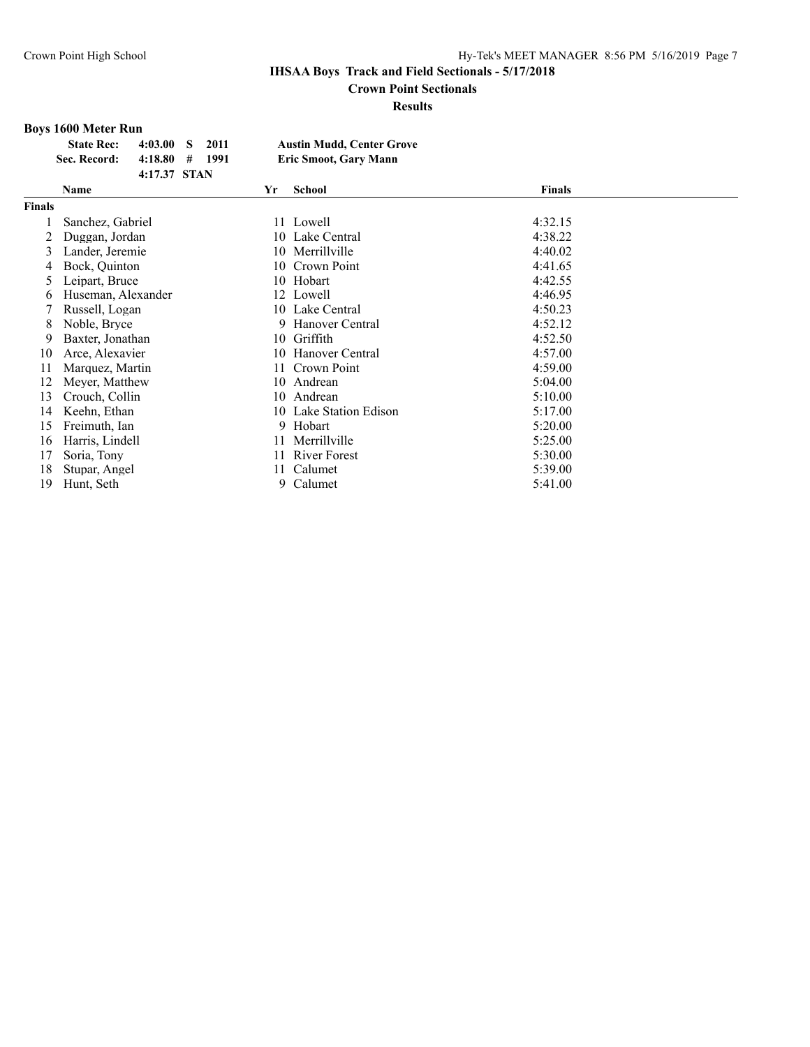# **Crown Point Sectionals**

## **Results**

## **Boys 1600 Meter Run**

| <b>State Rec:</b> | 4:03.00 S        | 2011 | <b>Austin Mudd, Center Grove</b> |
|-------------------|------------------|------|----------------------------------|
| Sec. Record:      | $4:18.80$ # 1991 |      | Eric Smoot, Gary Mann            |
|                   | 4:17.37 STAN     |      |                                  |

|               | Name               | Yr | <b>School</b>          | <b>Finals</b> |
|---------------|--------------------|----|------------------------|---------------|
| <b>Finals</b> |                    |    |                        |               |
|               | Sanchez, Gabriel   |    | 11 Lowell              | 4:32.15       |
| 2             | Duggan, Jordan     |    | 10 Lake Central        | 4:38.22       |
| 3             | Lander, Jeremie    | 10 | Merrillville           | 4:40.02       |
| 4             | Bock, Quinton      |    | 10 Crown Point         | 4:41.65       |
| 5.            | Leipart, Bruce     |    | 10 Hobart              | 4:42.55       |
| 6             | Huseman, Alexander |    | 12 Lowell              | 4:46.95       |
|               | Russell, Logan     |    | 10 Lake Central        | 4:50.23       |
| 8             | Noble, Bryce       |    | 9 Hanover Central      | 4:52.12       |
| 9             | Baxter, Jonathan   |    | 10 Griffith            | 4:52.50       |
| 10            | Arce, Alexavier    | 10 | Hanover Central        | 4:57.00       |
| 11            | Marquez, Martin    |    | 11 Crown Point         | 4:59.00       |
| 12            | Meyer, Matthew     |    | 10 Andrean             | 5:04.00       |
| 13            | Crouch, Collin     |    | 10 Andrean             | 5:10.00       |
| 14            | Keehn, Ethan       |    | 10 Lake Station Edison | 5:17.00       |
| 15            | Freimuth, Ian      |    | 9 Hobart               | 5:20.00       |
| 16            | Harris, Lindell    | 11 | Merrillville           | 5:25.00       |
| 17            | Soria, Tony        | 11 | <b>River Forest</b>    | 5:30.00       |
| 18            | Stupar, Angel      | 11 | Calumet                | 5:39.00       |
| 19            | Hunt, Seth         | 9  | Calumet                | 5:41.00       |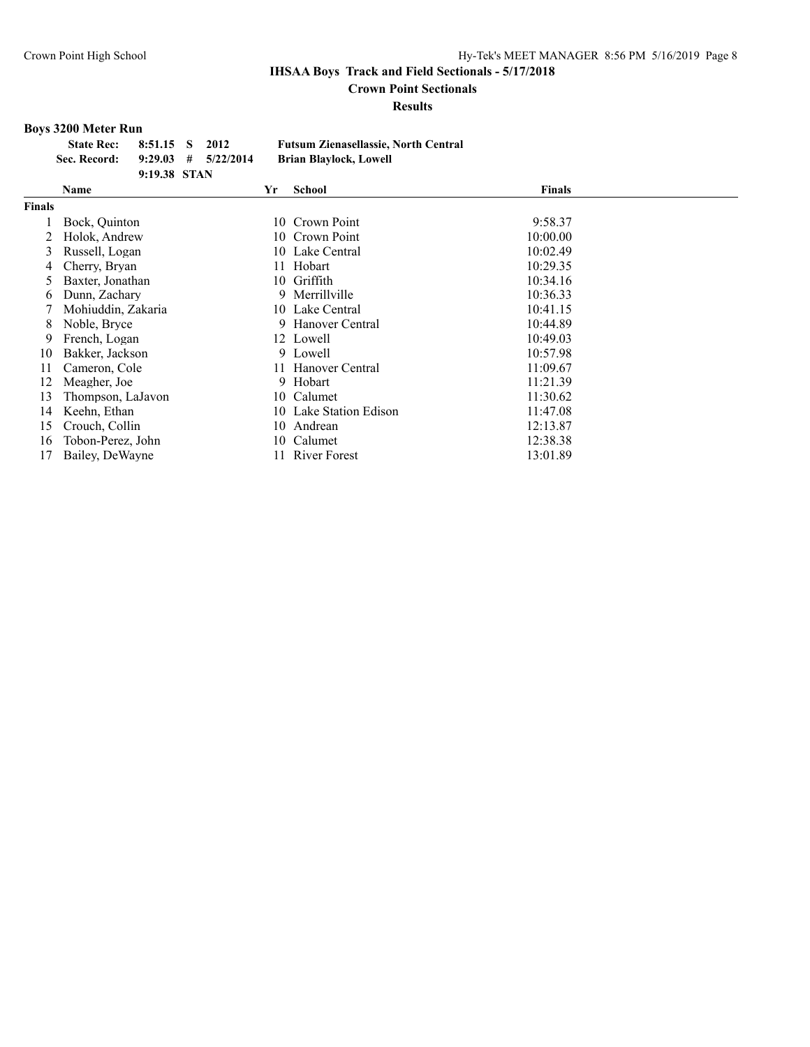**Crown Point Sectionals**

#### **Results**

# **Boys 3200 Meter Run**

| <b>State Rec:</b> 8:51.15 S 2012 |              |                         | <b>Futsum Zienasellassie, North Central</b> |
|----------------------------------|--------------|-------------------------|---------------------------------------------|
| Sec. Record:                     |              | $9:29.03$ # $5/22/2014$ | <b>Brian Blaylock, Lowell</b>               |
|                                  | 9:19.38 STAN |                         |                                             |

|               | <b>Name</b>        | Yr | <b>School</b>          | <b>Finals</b> |  |
|---------------|--------------------|----|------------------------|---------------|--|
| <b>Finals</b> |                    |    |                        |               |  |
|               | Bock, Quinton      | 10 | Crown Point            | 9:58.37       |  |
|               | Holok, Andrew      |    | 10 Crown Point         | 10:00.00      |  |
| 3             | Russell, Logan     |    | 10 Lake Central        | 10:02.49      |  |
| 4             | Cherry, Bryan      | 11 | Hobart                 | 10:29.35      |  |
| 5.            | Baxter, Jonathan   |    | 10 Griffith            | 10:34.16      |  |
| 6             | Dunn, Zachary      |    | 9 Merrillville         | 10:36.33      |  |
|               | Mohiuddin, Zakaria |    | 10 Lake Central        | 10:41.15      |  |
| 8             | Noble, Bryce       |    | 9 Hanover Central      | 10:44.89      |  |
| 9             | French, Logan      |    | 12 Lowell              | 10:49.03      |  |
| 10            | Bakker, Jackson    |    | 9 Lowell               | 10:57.98      |  |
| 11            | Cameron, Cole      |    | 11 Hanover Central     | 11:09.67      |  |
| 12            | Meagher, Joe       |    | 9 Hobart               | 11:21.39      |  |
| 13            | Thompson, LaJavon  |    | 10 Calumet             | 11:30.62      |  |
| 14            | Keehn, Ethan       |    | 10 Lake Station Edison | 11:47.08      |  |
| 15            | Crouch, Collin     |    | 10 Andrean             | 12:13.87      |  |
| 16            | Tobon-Perez, John  | 10 | Calumet                | 12:38.38      |  |
| 17            | Bailey, DeWayne    |    | <b>River Forest</b>    | 13:01.89      |  |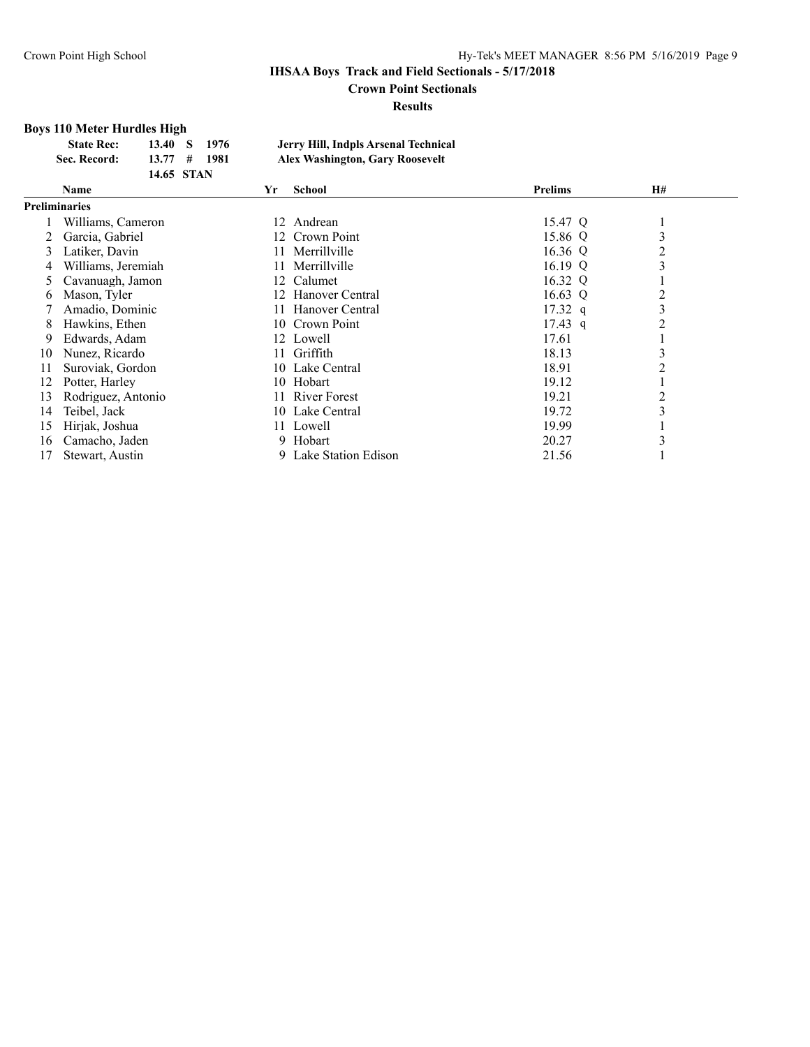**Crown Point Sectionals**

**Results**

# **Boys 110 Meter Hurdles High**

| <b>State Rec:</b> | 13.40 S<br>-1976          | Jerry Hill, Indpls Arsenal Technical   |
|-------------------|---------------------------|----------------------------------------|
| Sec. Record:      | - 1981<br>$13.77 \quad #$ | <b>Alex Washington, Gary Roosevelt</b> |
|                   | 14.65 STAN                |                                        |

|               | Name               | Yr  | <b>School</b>         | <b>Prelims</b>    | H#             |  |
|---------------|--------------------|-----|-----------------------|-------------------|----------------|--|
| Preliminaries |                    |     |                       |                   |                |  |
|               | Williams, Cameron  | 12  | Andrean               | 15.47 Q           |                |  |
|               | Garcia, Gabriel    | 12. | Crown Point           | 15.86 Q           | 3              |  |
| 3             | Latiker, Davin     | 11  | Merrillville          | 16.36 $Q$         | $\overline{2}$ |  |
| 4             | Williams, Jeremiah | 11  | Merrillville          | $16.19$ Q         | 3              |  |
| 5             | Cavanuagh, Jamon   | 12  | Calumet               | 16.32 Q           |                |  |
| 6             | Mason, Tyler       | 12  | Hanover Central       | 16.63 Q           | 2              |  |
|               | Amadio, Dominic    | 11  | Hanover Central       | $17.32$ q         | 3              |  |
| 8             | Hawkins, Ethen     |     | 10 Crown Point        | $17.43 \text{ q}$ | 2              |  |
| 9             | Edwards, Adam      |     | 12 Lowell             | 17.61             |                |  |
| 10            | Nunez, Ricardo     |     | 11 Griffith           | 18.13             | 3              |  |
| 11            | Suroviak, Gordon   |     | 10 Lake Central       | 18.91             | 2              |  |
| 12            | Potter, Harley     |     | 10 Hobart             | 19.12             |                |  |
| 13            | Rodriguez, Antonio | 11  | <b>River Forest</b>   | 19.21             | 2              |  |
| 14            | Teibel, Jack       |     | 10 Lake Central       | 19.72             | 3              |  |
| 15            | Hirjak, Joshua     |     | 11 Lowell             | 19.99             |                |  |
| 16            | Camacho, Jaden     |     | 9 Hobart              | 20.27             |                |  |
| 17            | Stewart, Austin    |     | 9 Lake Station Edison | 21.56             |                |  |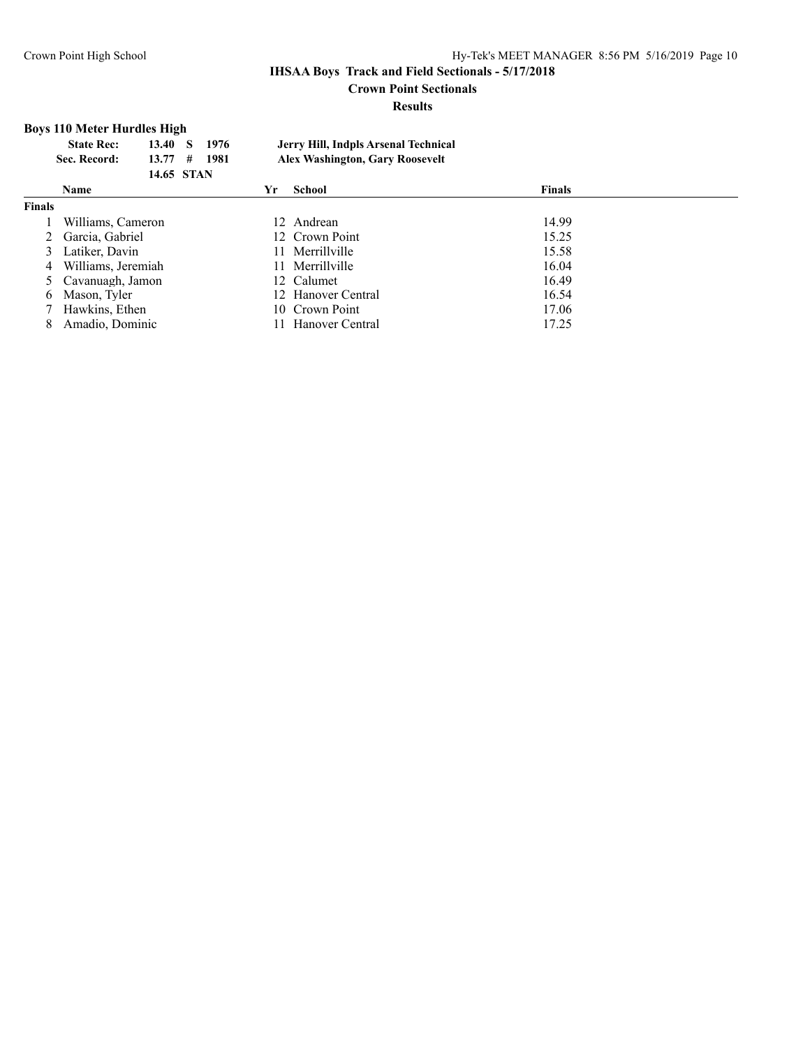## **Crown Point Sectionals**

#### **Results**

# **Boys 110 Meter Hurdles High**

| <b>State Rec:</b> | 13.40 S 1976               | Jerry Hill, Indpls Arsenal Technical |
|-------------------|----------------------------|--------------------------------------|
| Sec. Record:      | $13.77 \quad # \quad 1981$ | Alex Washington, Gary Roosevelt      |
|                   | 14.65 STAN                 |                                      |

|               | Name                 | Yr | <b>School</b>      | <b>Finals</b> |  |
|---------------|----------------------|----|--------------------|---------------|--|
| <b>Finals</b> |                      |    |                    |               |  |
|               | Williams, Cameron    |    | 12 Andrean         | 14.99         |  |
|               | 2 Garcia, Gabriel    |    | 12 Crown Point     | 15.25         |  |
|               | 3 Latiker, Davin     |    | 11 Merrillyille    | 15.58         |  |
|               | 4 Williams, Jeremiah |    | 11 Merrillville    | 16.04         |  |
|               | 5 Cavanuagh, Jamon   |    | 12 Calumet         | 16.49         |  |
| 6.            | Mason, Tyler         |    | 12 Hanover Central | 16.54         |  |
|               | Hawkins, Ethen       |    | 10 Crown Point     | 17.06         |  |
|               | Amadio, Dominic      |    | Hanover Central    | 17.25         |  |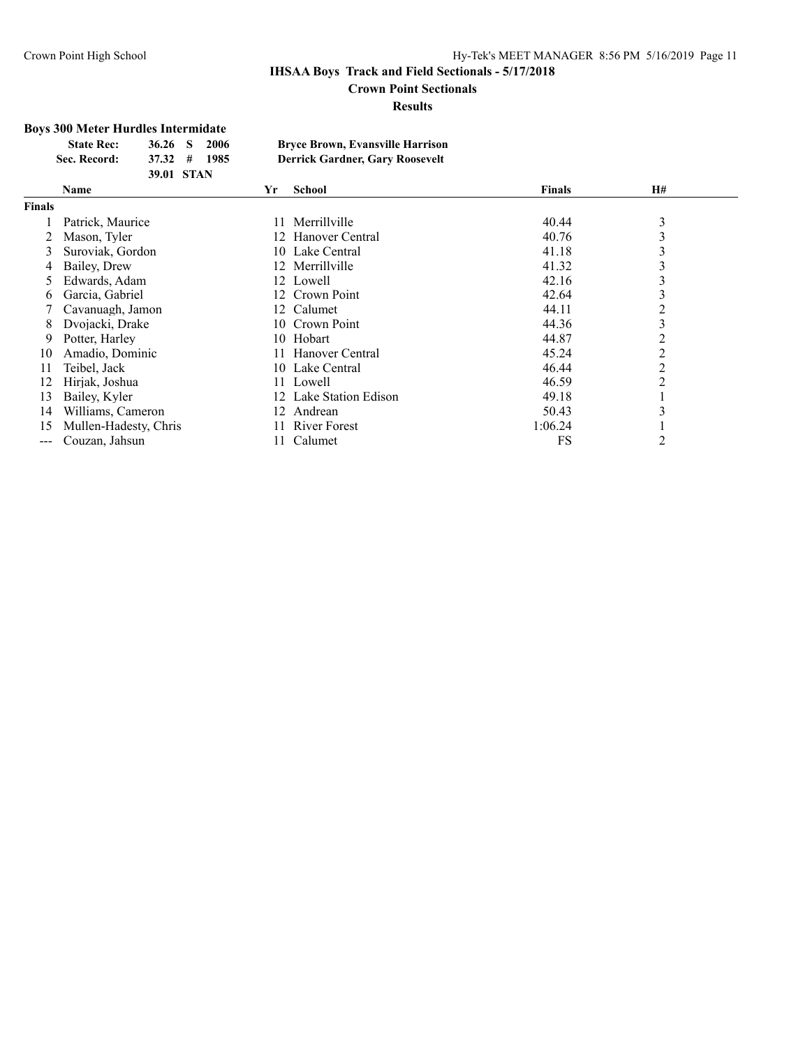**Crown Point Sectionals**

#### **Results**

## **Boys 300 Meter Hurdles Intermidate**

| <b>State Rec:</b> | $36.26$ S<br>-2006         | <b>Bryce Brown, Evansville Harrison</b> |
|-------------------|----------------------------|-----------------------------------------|
| Sec. Record:      | $37.32 \quad # \quad 1985$ | <b>Derrick Gardner, Gary Roosevelt</b>  |
|                   | 39.01 STAN                 |                                         |

|               | <b>Name</b>           | Yr  | <b>School</b>       | <b>Finals</b> | <b>H#</b>      |  |
|---------------|-----------------------|-----|---------------------|---------------|----------------|--|
| <b>Finals</b> |                       |     |                     |               |                |  |
|               | Patrick, Maurice      | 11  | Merrillville        | 40.44         | 3              |  |
| 2             | Mason, Tyler          | 12. | Hanover Central     | 40.76         | 3              |  |
| 3             | Suroviak, Gordon      | 10. | Lake Central        | 41.18         | 3              |  |
|               | Bailey, Drew          | 12. | Merrillville        | 41.32         | 3              |  |
| 5.            | Edwards, Adam         |     | 12 Lowell           | 42.16         | 3              |  |
| 6             | Garcia, Gabriel       |     | 12 Crown Point      | 42.64         | 3              |  |
|               | Cavanuagh, Jamon      | 12. | Calumet             | 44.11         | 2              |  |
| 8             | Dvojacki, Drake       |     | 10 Crown Point      | 44.36         | 3              |  |
| 9             | Potter, Harley        | 10. | Hobart              | 44.87         | 2              |  |
| 10            | Amadio, Dominic       |     | Hanover Central     | 45.24         | 2              |  |
| 11            | Teibel, Jack          | 10. | Lake Central        | 46.44         | 2              |  |
| 12            | Hirjak, Joshua        | 11  | Lowell              | 46.59         | $\overline{2}$ |  |
| 13            | Bailey, Kyler         | 12. | Lake Station Edison | 49.18         |                |  |
| 14            | Williams, Cameron     | 12  | Andrean             | 50.43         | 3              |  |
| 15            | Mullen-Hadesty, Chris |     | <b>River Forest</b> | 1:06.24       |                |  |
| ---           | Couzan, Jahsun        |     | Calumet             | FS            | 2              |  |
|               |                       |     |                     |               |                |  |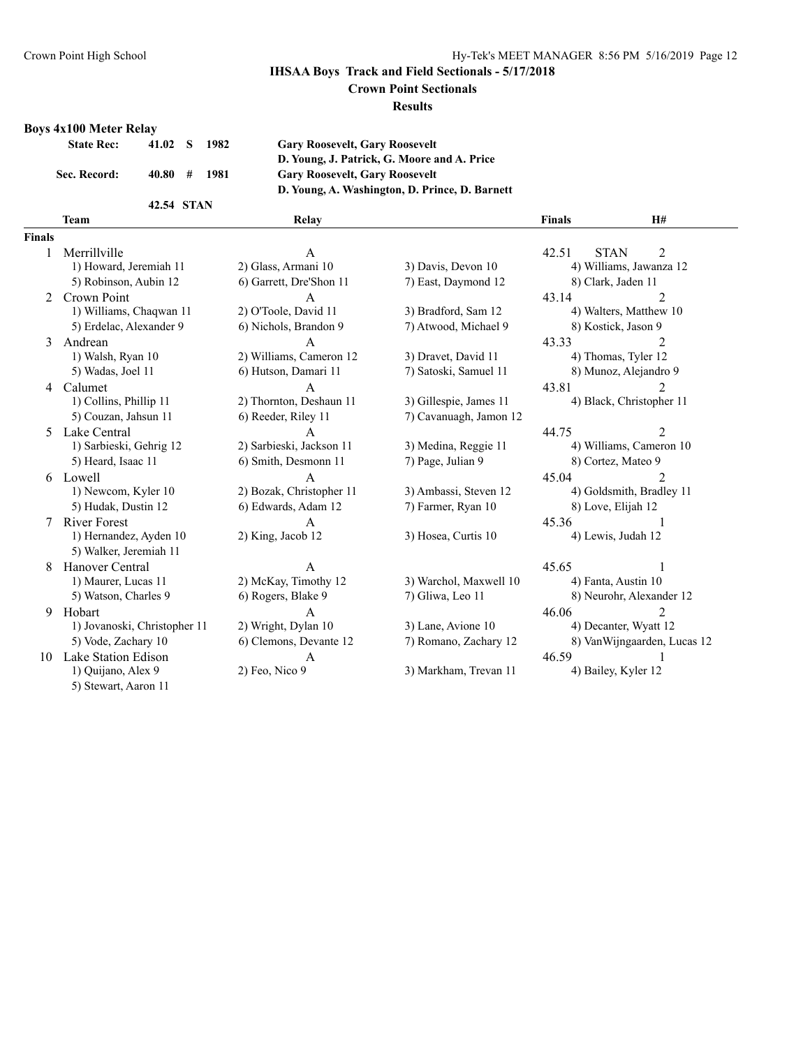**Crown Point Sectionals**

#### **Results**

#### **Boys 4x100 Meter Relay**

| <b>State Rec:</b> | 41.02 S 1982     |  |
|-------------------|------------------|--|
| Sec. Record:      | $40.80 \pm 1981$ |  |
|                   | 42.54 STAN       |  |

**State Rec: 41.02 S 1982 Gary Roosevelt, Gary Roosevelt D. Young, J. Patrick, G. Moore and A. Price Sec. Record: 40.80 # 1981 Gary Roosevelt, Gary Roosevelt D. Young, A. Washington, D. Prince, D. Barnett**

## **Team Relay Finals H#**

**Finals** 1 Merrillville 2008 A 42.51 STAN 2 1) Howard, Jeremiah 11 2) Glass, Armani 10 3) Davis, Devon 10 4) Williams, Jawanza 12 5) Robinson, Aubin 12 6) Garrett, Dre'Shon 11 7) East, Daymond 12 8) Clark, Jaden 11 2 Crown Point A 43.14 2<br>
1) Williams, Chaqwan 11 2) O'Toole, David 11 3) Bradford, Sam 12 43.14 2<br>
1) Walters, Matthew 10 1) Williams, Chaqwan 11 5) Erdelac, Alexander 9 6) Nichols, Brandon 9 7) Atwood, Michael 9 8) Kostick, Jason 9 3 Andrean A 43.33 2 1) Walsh, Ryan 10 2) Williams, Cameron 12 3) Dravet, David 11 4) Thomas, Tyler 12 5) Wadas, Joel 11 6) Hutson, Damari 11 7) Satoski, Samuel 11 8) Munoz, Alejandro 9 5) Couzan, Jahsun 11 6) Reeder, Riley 11 7) Cavanuagh, Jamon 12 5) Walker, Jeremiah 11

1) Quijano, Alex 9 2) Feo, Nico 9 3) Markham, Trevan 11 4) Bailey, Kyler 12 5) Stewart, Aaron 11

10 Lake Station Edison **A** 46.59 1

4 Calumet 2 A 43.81 2 1) Collins, Phillip 11 2) Thornton, Deshaun 11 3) Gillespie, James 11 4) Black, Christopher 11 5 Lake Central 19 12<br>
1) Sarbieski, Gehrig 12 2) Sarbieski, Jackson 11 3) Medina, Reggie 11 4) Williams, Camero 3) Medina, Reggie 11 4) Williams, Cameron 10 5) Heard, Isaac 11 6) Smith, Desmonn 11 7) Page, Julian 9 8) Cortez, Mateo 9 6 Lowell **A** 45.04 2 1) Newcom, Kyler 10 2) Bozak, Christopher 11 3) Ambassi, Steven 12 4) Goldsmith, Bradley 11 5) Hudak, Dustin 12 6) Edwards, Adam 12 7) Farmer, Ryan 10 8) Love, Elijah 12 7 River Forest A 45.36 1 1) Hernandez, Ayden 10 2) King, Jacob 12 3) Hosea, Curtis 10 4) Lewis, Judah 12 8 Hanover Central 1 1 A<br>
1) Maurer, Lucas 11 2) McKay, Timothy 12 3) Warchol, Maxwell 10 4) Fanta, Austin 10 3) Warchol, Maxwell 10 5) Watson, Charles 9 6) Rogers, Blake 9 7) Gliwa, Leo 11 8) Neurohr, Alexander 12 9 Hobart 2 A 46.06 2 1) Jovanoski, Christopher 11 2) Wright, Dylan 10 3) Lane, Avione 10 4) Decanter, Wyatt 12 5) Vode, Zachary 10 6) Clemons, Devante 12 7) Romano, Zachary 12 8) VanWijngaarden, Lucas 12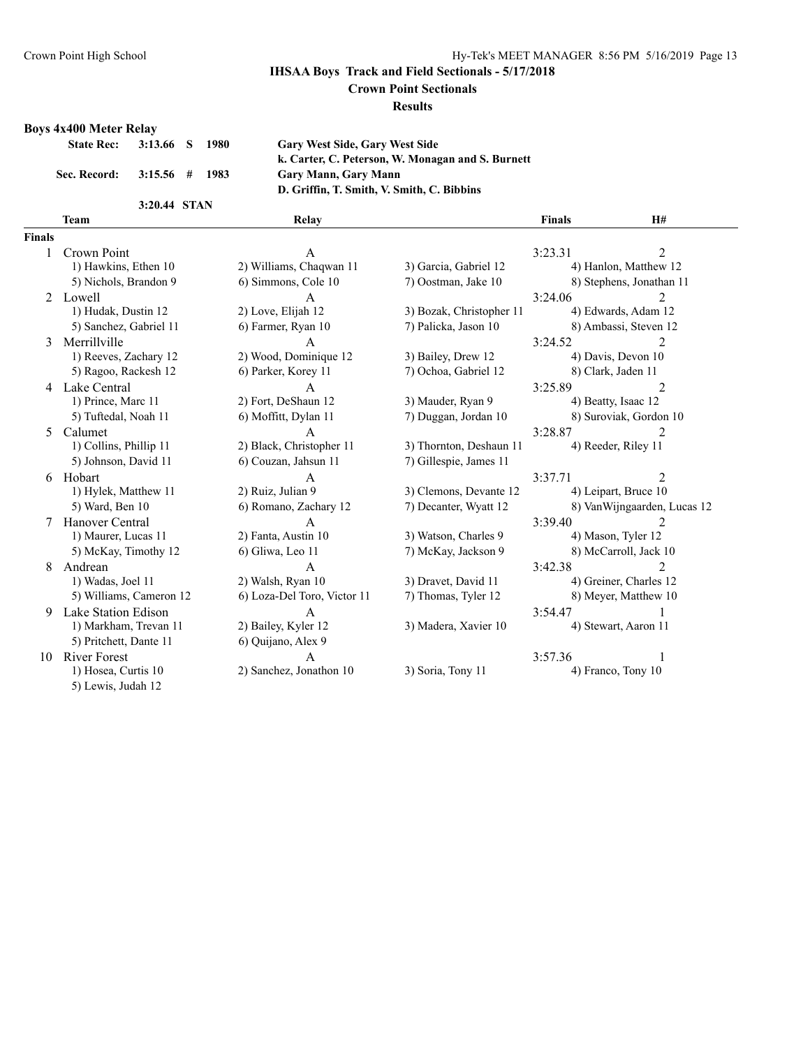**Crown Point Sectionals**

#### **Results**

#### **Boys 4x400 Meter Relay**

| State Rec: 3:13.66 S 1980   |              |  |
|-----------------------------|--------------|--|
| Sec. Record: 3:15.56 # 1983 |              |  |
|                             | 3:20.44 STAN |  |

**State Rec: 3:13.66 S 1980 Gary West Side, Gary West Side k. Carter, C. Peterson, W. Monagan and S. Burnett**  $Gary Mann, Gary Mann$ **D. Griffin, T. Smith, V. Smith, C. Bibbins**

## **Team Relay Finals H#**

**Finals** 5) Johnson, David 11 6) Couzan, Jahsun 11 7) Gillespie, James 11 1) Markham, Trevan 11 5) Pritchett, Dante 11 6) Quijano, Alex 9

1) Hosea, Curtis 10 2) Sanchez, Jonathon 10 3) Soria, Tony 11 4) Franco, Tony 10 5) Lewis, Judah 12

2) Wood, Dominique 12

1 Crown Point 2 A 3:23.31 2 1) Hawkins, Ethen 10 2) Williams, Chaqwan 11 3) Garcia, Gabriel 12 4) Hanlon, Matthew 12 5) Nichols, Brandon 9 6) Simmons, Cole 10 7) Oostman, Jake 10 8) Stephens, Jonathan 11 2 Lowell **A** 3:24.06 2 1) Hudak, Dustin 12 2) Love, Elijah 12 3) Bozak, Christopher 11 4) Edwards, Adam 12 5) Sanchez, Gabriel 11 6) Farmer, Ryan 10 7) Palicka, Jason 10 8) Ambassi, Steven 12 3 Merrillville 12<br>
1) Reeves, Zachary 12 2 3 Wood, Dominique 12 3 3 Bailey, Drew 12 3:24.52 2 3 3 3:24.52 3 4 3:24.52 2 4 3:24.52 2 4 3:24.52 2 4 3:24.52 2 4 5:24.52 2 3 3:24.52 4 5:24.52 2 4 5:24.52 2 4 5:24.52 2 4 5:24.5 5) Ragoo, Rackesh 12 6) Parker, Korey 11 7) Ochoa, Gabriel 12 8) Clark, Jaden 11 4 Lake Central 2 A 3:25.89 2 1) Prince, Marc 11 2) Fort, DeShaun 12 3) Mauder, Ryan 9 4) Beatty, Isaac 12 5) Tuftedal, Noah 11 6) Moffitt, Dylan 11 7) Duggan, Jordan 10 8) Suroviak, Gordon 10 5 Calumet 2 A 3:28.87 2 1) Collins, Phillip 11 2) Black, Christopher 11 3) Thornton, Deshaun 11 4) Reeder, Riley 11 6 Hobart 2 A 3:37.71 2 1) Hylek, Matthew 11 2) Ruiz, Julian 9 3) Clemons, Devante 12 4) Leipart, Bruce 10 5) Ward, Ben 10 6) Romano, Zachary 12 7) Decanter, Wyatt 12 8) VanWijngaarden, Lucas 12 7 Hanover Central A 3:39.40 2 1) Maurer, Lucas 11 2) Fanta, Austin 10 3) Watson, Charles 9 4) Mason, Tyler 12 5) McKay, Timothy 12 6) Gliwa, Leo 11 7) McKay, Jackson 9 8) McCarroll, Jack 10 8 Andrean 2 A 3:42.38 2 1) Wadas, Joel 11 2) Walsh, Ryan 10 3) Dravet, David 11 4) Greiner, Charles 12 5) Williams, Cameron 12 6) Loza-Del Toro, Victor 11 7) Thomas, Tyler 12 8) Meyer, Matthew 10 9 Lake Station Edison <br>
1) Markham, Trevan 11 <br>
2) Bailey, Kyler 12 <br>
3) Madera, Xavier 10 <br>
3) Madera, Xavier 10 <br>
4) Stewart, Aaron 11 10 River Forest 2.57.36 1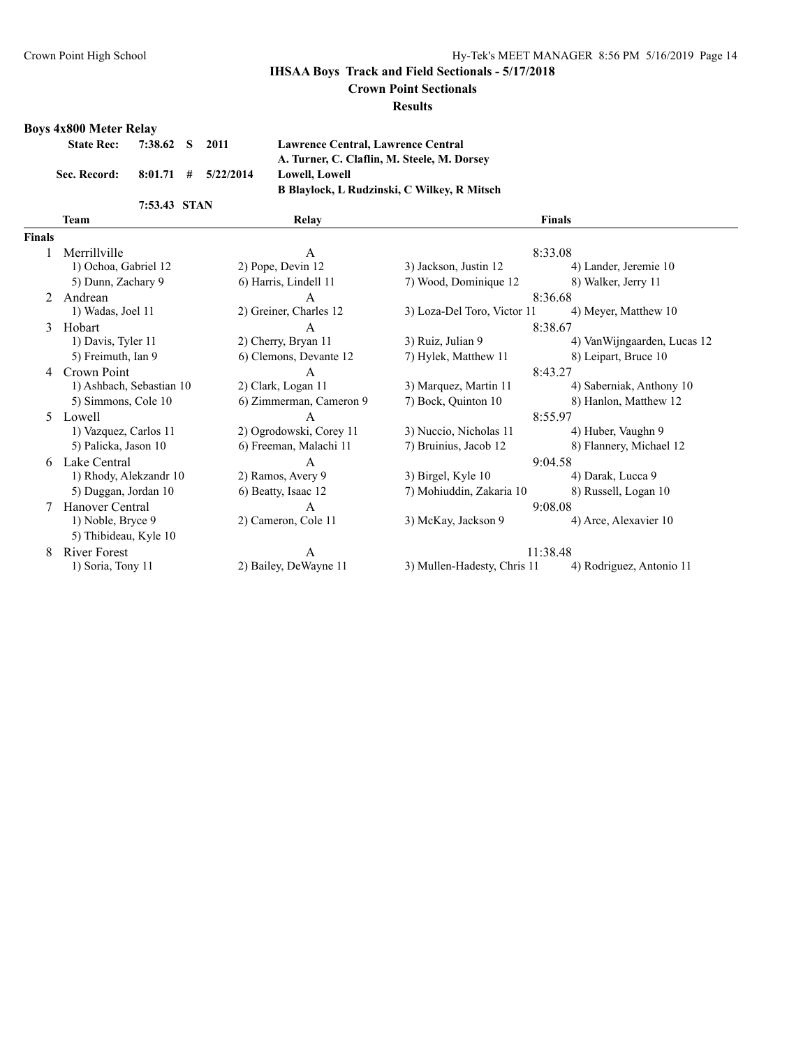#### **Crown Point Sectionals**

#### **Results**

#### **Boys 4x800 Meter Relay**

| State Rec: 7:38.62 S 2011            |  |  |
|--------------------------------------|--|--|
| Sec. Record: $8:01.71$ # $5/22/2014$ |  |  |

**7:53.43 STAN**

**State Rec: 7:38.62 S 2011 Lawrence Central, Lawrence Central A. Turner, C. Claflin, M. Steele, M. Dorsey**  $Lowell, Lowell$ **B Blaylock, L Rudzinski, C Wilkey, R Mitsch**

## **Team Relay Finals**

**Finals** 1 Merrillville **A** 8:33.08 1) Rhody, Alekzandr 10 7 Hanover Central A 9:08.08<br>1) Noble, Bryce 9 2) Cameron, Cole 11 3) McKay, Jackson 9

## 5) Thibideau, Kyle 10 8 River Forest A 11:38.48

5) Freimuth, Ian 9 6) Clemons, Devante 12 7) Hylek, Matthew 11

1) Ochoa, Gabriel 12 2) Pope, Devin 12 3) Jackson, Justin 12 4) Lander, Jeremie 10 5) Dunn, Zachary 9 6) Harris, Lindell 11 7) Wood, Dominique 12 8) Walker, Jerry 11 2 Andrean A 8:36.68<br>
1) Wadas, Joel 11 2) Greiner, Charles 12 3) Loza-Del Toro, Victor 11 4) Meyer, Matthew 10 3) Loza-Del Toro, Victor 11 3 Hobart  $A$  8:38.67 1) Davis, Tyler 11 2) Cherry, Bryan 11 3) Ruiz, Julian 9 4) Van Wijngaarden, Lucas 12<br>5) Freimuth, Ian 9 6) Clemons, Devante 12 7) Hylek, Matthew 11 8) Leipart, Bruce 10 4 Crown Point A 8:43.27<br>
1) Ashbach, Sebastian 10 2) Clark, Logan 11 3) Marquez, Martin 11 8:43.27 4) Saberniak, Anthony 10 5) Simmons, Cole 10 6) Zimmerman, Cameron 9 7) Bock, Quinton 10 8) Hanlon, Matthew 12 5 Lowell **A** 8:55.97 1) Vazquez, Carlos 11 2) Ogrodowski, Corey 11 3) Nuccio, Nicholas 11 4) Huber, Vaughn 9 5) Palicka, Jason 10 6) Freeman, Malachi 11 7) Bruinius, Jacob 12 8) Flannery, Michael 12 6 Lake Central 10 A<br>
1) Rhody, Alekzandr 10 2) Ramos, Avery 9 3) Birgel, Kyle 10 9:04.58<br>
3) Birgel, Kyle 10 9:04.58 5) Duggan, Jordan 10 6) Beatty, Isaac 12 7) Mohiuddin, Zakaria 10 8) Russell, Logan 10

4) Arce, Alexavier 10

1) Soria, Tony 11 2) Bailey, DeWayne 11 3) Mullen-Hadesty, Chris 11 4) Rodriguez, Antonio 11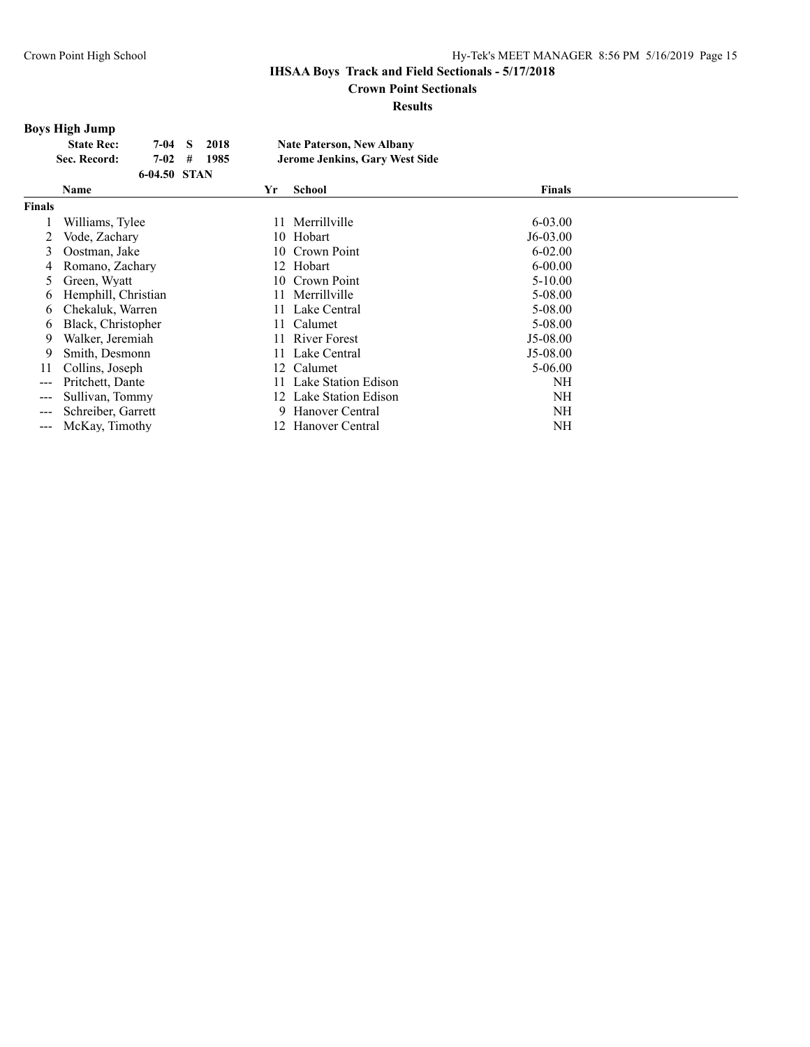## **Crown Point Sectionals**

#### **Results**

# **Boys High Jump**

| <b>State Rec:</b> | 7-04 S       | -2018 | <b>Nate Paterson, New Albany</b> |
|-------------------|--------------|-------|----------------------------------|
| Sec. Record:      | $7 - 02$ #   | -1985 | Jerome Jenkins, Gary West Side   |
|                   | 6-04.50 STAN |       |                                  |

|                   | <b>Name</b>         | Yr | School                 | <b>Finals</b> |  |
|-------------------|---------------------|----|------------------------|---------------|--|
| Finals            |                     |    |                        |               |  |
|                   | Williams, Tylee     | 11 | Merrillville           | $6 - 03.00$   |  |
|                   | Vode, Zachary       |    | 10 Hobart              | $J6-03.00$    |  |
| 3                 | Oostman, Jake       |    | 10 Crown Point         | $6 - 02.00$   |  |
| 4                 | Romano, Zachary     |    | 12 Hobart              | $6 - 00.00$   |  |
| 5                 | Green, Wyatt        |    | 10 Crown Point         | $5 - 10.00$   |  |
| 6                 | Hemphill, Christian | 11 | Merrillville           | 5-08.00       |  |
| 6                 | Chekaluk, Warren    | 11 | Lake Central           | 5-08.00       |  |
| 6                 | Black, Christopher  | 11 | Calumet                | 5-08.00       |  |
| 9                 | Walker, Jeremiah    | 11 | River Forest           | $J5-08.00$    |  |
| 9                 | Smith, Desmonn      | 11 | Lake Central           | $J5-08.00$    |  |
| 11                | Collins, Joseph     |    | 12 Calumet             | $5 - 06.00$   |  |
| $\frac{1}{2}$     | Pritchett, Dante    | 11 | Lake Station Edison    | NH            |  |
| $  -$             | Sullivan, Tommy     |    | 12 Lake Station Edison | NH            |  |
|                   | Schreiber, Garrett  |    | 9 Hanover Central      | NH            |  |
| $\qquad \qquad -$ | McKay, Timothy      |    | 12 Hanover Central     | NH            |  |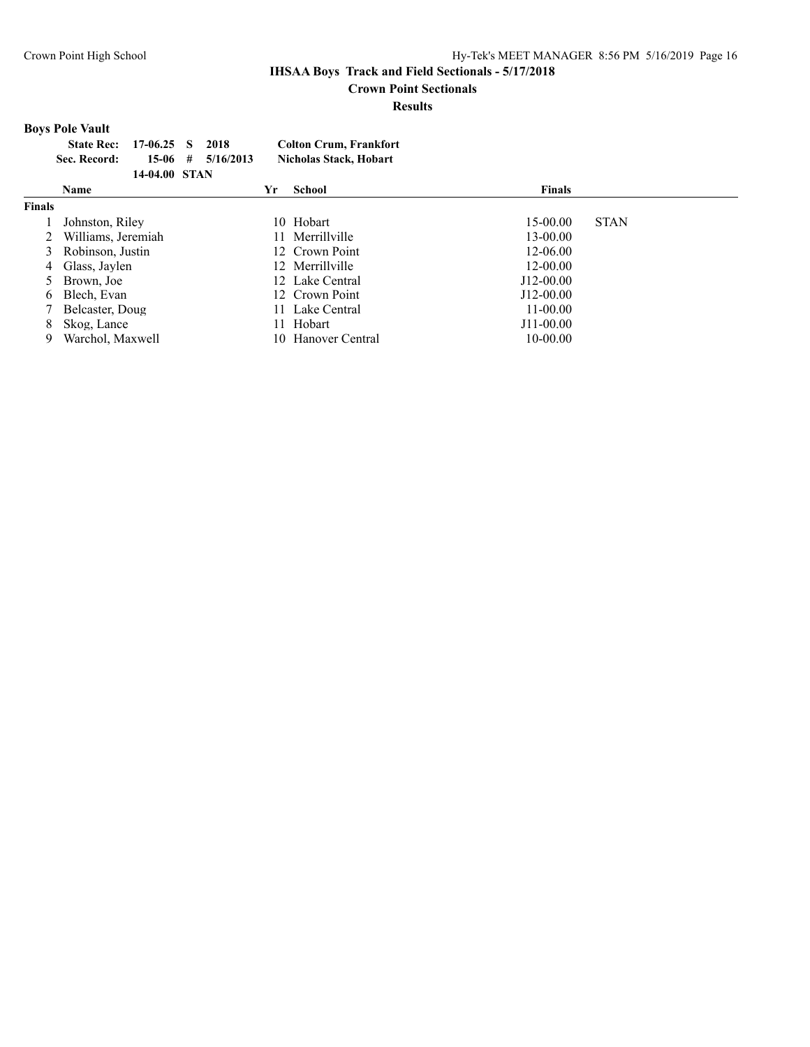#### **Crown Point Sectionals**

#### **Results**

# **Boys Pole Vault**

|        | <b>State Rec:</b><br>17-06.25<br>S<br>$15-06$<br>Sec. Record:<br>#<br>14-04.00 STAN | 2018<br>5/16/2013 | <b>Colton Crum, Frankfort</b><br><b>Nicholas Stack, Hobart</b> |               |             |
|--------|-------------------------------------------------------------------------------------|-------------------|----------------------------------------------------------------|---------------|-------------|
|        | <b>Name</b>                                                                         | Yr                | School                                                         | <b>Finals</b> |             |
| Finals |                                                                                     |                   |                                                                |               |             |
|        | Johnston, Riley                                                                     | 10                | Hobart                                                         | $15-00.00$    | <b>STAN</b> |
|        | Williams, Jeremiah                                                                  | 11                | Merrillville                                                   | $13 - 00.00$  |             |
| 3      | Robinson, Justin                                                                    |                   | 12 Crown Point                                                 | 12-06.00      |             |
| 4      | Glass, Jaylen                                                                       |                   | 12 Merrillyille                                                | 12-00.00      |             |
|        | Brown, Joe                                                                          |                   | 12 Lake Central                                                | $J12-00.00$   |             |
| 6      | Blech, Evan                                                                         |                   | 12 Crown Point                                                 | J12-00.00     |             |
|        | Belcaster, Doug                                                                     | 11                | Lake Central                                                   | $11 - 00.00$  |             |
| 8      | Skog, Lance                                                                         | 11                | Hobart                                                         | $J11-00.00$   |             |
| 9      | Warchol, Maxwell                                                                    | 10                | Hanover Central                                                | $10 - 00.00$  |             |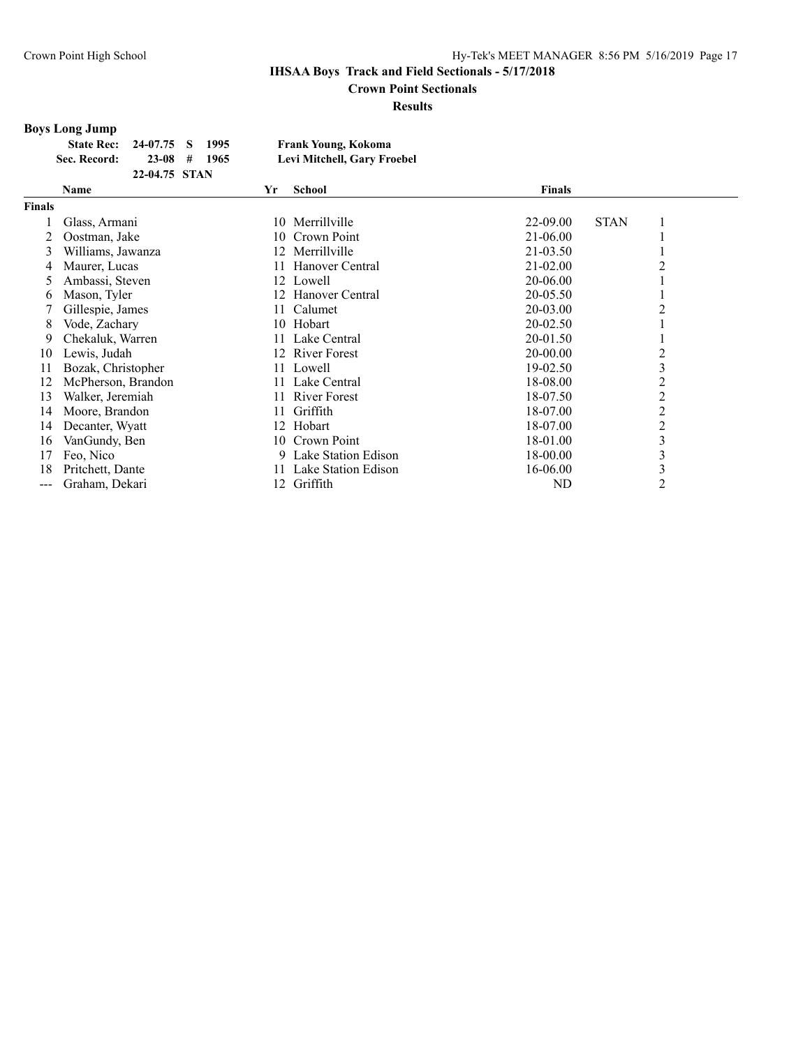## **Crown Point Sectionals**

#### **Results**

# **Boys Long Jump**

| <b>State Rec: 24-07.75 S</b> |               | -1995          | Frank Young, Kokoma         |
|------------------------------|---------------|----------------|-----------------------------|
| Sec. Record:                 |               | $23-08$ # 1965 | Levi Mitchell, Gary Froebel |
|                              | 22-04.75 STAN |                |                             |

|        | <b>Name</b>        | Yr  | School                | <b>Finals</b> |                |
|--------|--------------------|-----|-----------------------|---------------|----------------|
| Finals |                    |     |                       |               |                |
|        | Glass, Armani      | 10  | Merrillville          | 22-09.00      | <b>STAN</b>    |
|        | Oostman, Jake      | 10  | Crown Point           | 21-06.00      |                |
| 3      | Williams, Jawanza  | 12  | Merrillville          | 21-03.50      |                |
|        | Maurer, Lucas      | 11  | Hanover Central       | $21 - 02.00$  |                |
| 5      | Ambassi, Steven    |     | 12 Lowell             | $20 - 06.00$  |                |
| 6      | Mason, Tyler       |     | 12 Hanover Central    | 20-05.50      |                |
|        | Gillespie, James   | 11- | Calumet               | 20-03.00      | 2              |
| 8      | Vode, Zachary      |     | 10 Hobart             | 20-02.50      |                |
| 9      | Chekaluk, Warren   |     | 11 Lake Central       | 20-01.50      |                |
| 10     | Lewis, Judah       |     | 12 River Forest       | 20-00.00      | 2              |
| 11     | Bozak, Christopher |     | 11 Lowell             | 19-02.50      | 3              |
| 12     | McPherson, Brandon |     | 11 Lake Central       | 18-08.00      | 2              |
| 13     | Walker, Jeremiah   |     | 11 River Forest       | 18-07.50      | 2              |
| 14     | Moore, Brandon     | 11. | Griffith              | 18-07.00      | 2              |
| 14     | Decanter, Wyatt    | 12  | Hobart                | 18-07.00      | $\overline{2}$ |
| 16     | VanGundy, Ben      | 10  | Crown Point           | 18-01.00      | 3              |
| 17     | Feo, Nico          |     | 9 Lake Station Edison | 18-00.00      | 3              |
| 18     | Pritchett, Dante   | 11  | Lake Station Edison   | 16-06.00      | 3              |
| ---    | Graham, Dekari     | 12  | Griffith              | ND            | 2              |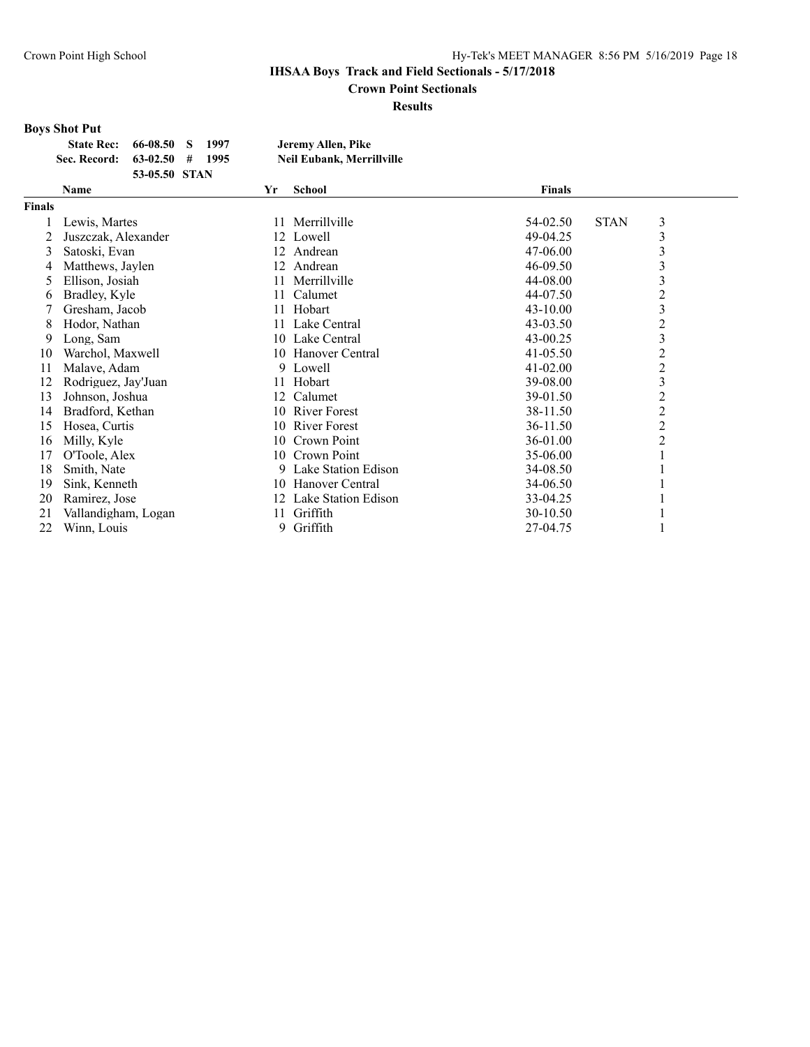**Crown Point Sectionals**

**Results**

# **Boys Shot Put**

| <b>State Rec:</b> 66-08.50 S   |               | 1997 | Jeremy Allen, Pike        |
|--------------------------------|---------------|------|---------------------------|
| Sec. Record: $63-02.50$ # 1995 |               |      | Neil Eubank, Merrillville |
|                                | 53-05.50 STAN |      |                           |

|        | Name                | Yr  | <b>School</b>       | <b>Finals</b> |                         |
|--------|---------------------|-----|---------------------|---------------|-------------------------|
| Finals |                     |     |                     |               |                         |
|        | Lewis, Martes       |     | 11 Merrillville     | 54-02.50      | 3<br><b>STAN</b>        |
| 2      | Juszczak, Alexander |     | 12 Lowell           | 49-04.25      | 3                       |
| 3      | Satoski, Evan       |     | 12 Andrean          | 47-06.00      | 3                       |
| 4      | Matthews, Jaylen    |     | 12 Andrean          | 46-09.50      | 3                       |
| 5      | Ellison, Josiah     | 11  | Merrillville        | 44-08.00      | 3                       |
| 6      | Bradley, Kyle       | 11  | Calumet             | 44-07.50      | 2                       |
|        | Gresham, Jacob      | 11  | Hobart              | $43 - 10.00$  | 3                       |
| 8      | Hodor, Nathan       | 11. | Lake Central        | 43-03.50      | $\overline{c}$          |
| 9      | Long, Sam           |     | 10 Lake Central     | 43-00.25      | $\overline{3}$          |
| 10     | Warchol, Maxwell    | 10  | Hanover Central     | 41-05.50      | 2                       |
| 11     | Malave, Adam        |     | 9 Lowell            | 41-02.00      | $\overline{\mathbf{c}}$ |
| 12     | Rodriguez, Jay'Juan | 11  | Hobart              | 39-08.00      | 3                       |
| 13     | Johnson, Joshua     | 12  | Calumet             | 39-01.50      | $\overline{c}$          |
| 14     | Bradford, Kethan    |     | 10 River Forest     | 38-11.50      | 2                       |
| 15     | Hosea, Curtis       |     | 10 River Forest     | 36-11.50      | $\overline{c}$          |
| 16     | Milly, Kyle         | 10  | Crown Point         | 36-01.00      | 2                       |
| 17     | O'Toole, Alex       |     | 10 Crown Point      | 35-06.00      |                         |
| 18     | Smith, Nate         | 9   | Lake Station Edison | 34-08.50      |                         |
| 19     | Sink, Kenneth       | 10  | Hanover Central     | 34-06.50      |                         |
| 20     | Ramirez, Jose       | 12  | Lake Station Edison | 33-04.25      |                         |
| 21     | Vallandigham, Logan | 11  | Griffith            | 30-10.50      |                         |
| 22     | Winn, Louis         |     | 9 Griffith          | 27-04.75      |                         |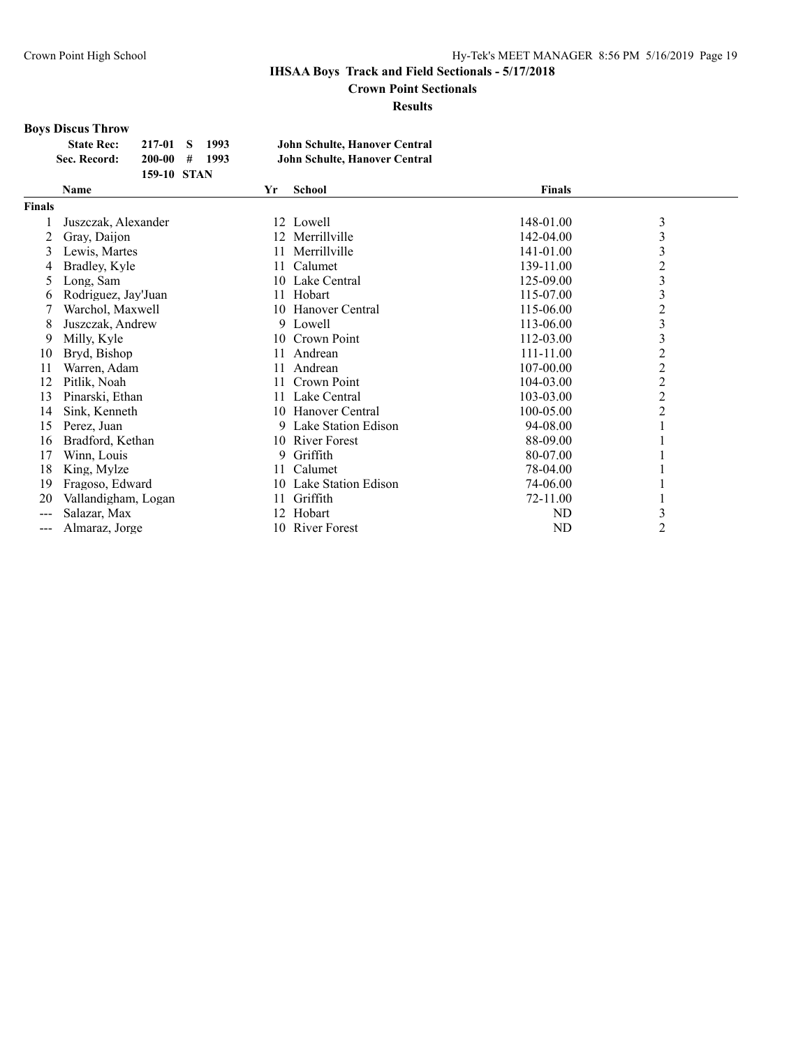**Crown Point Sectionals**

**Results**

## **Boys Discus Throw**

| <b>State Rec:</b> | 217-01 S        | -1993 | John Schulte, Hanover Central |
|-------------------|-----------------|-------|-------------------------------|
| Sec. Record:      | $200-00$ # 1993 |       | John Schulte, Hanover Central |
|                   | 159-10 STAN     |       |                               |

|        | Name                | Yr | <b>School</b>          | <b>Finals</b> |                         |  |
|--------|---------------------|----|------------------------|---------------|-------------------------|--|
| Finals |                     |    |                        |               |                         |  |
|        | Juszczak, Alexander |    | 12 Lowell              | 148-01.00     | 3                       |  |
|        | Gray, Daijon        |    | 12 Merrillville        | 142-04.00     | $\overline{\mathbf{3}}$ |  |
| 3      | Lewis, Martes       | 11 | Merrillville           | 141-01.00     | $\mathfrak{Z}$          |  |
|        | Bradley, Kyle       | 11 | Calumet                | 139-11.00     | $\overline{c}$          |  |
| 5      | Long, Sam           |    | 10 Lake Central        | 125-09.00     | $\mathfrak{Z}$          |  |
| 6      | Rodriguez, Jay'Juan |    | 11 Hobart              | 115-07.00     | 3                       |  |
|        | Warchol, Maxwell    |    | 10 Hanover Central     | 115-06.00     | $\overline{2}$          |  |
| 8      | Juszczak, Andrew    |    | 9 Lowell               | 113-06.00     | 3                       |  |
| 9      | Milly, Kyle         |    | 10 Crown Point         | 112-03.00     | 3                       |  |
| 10     | Bryd, Bishop        | 11 | Andrean                | 111-11.00     | $\overline{2}$          |  |
| 11     | Warren, Adam        | 11 | Andrean                | 107-00.00     | $\overline{2}$          |  |
| 12     | Pitlik, Noah        |    | 11 Crown Point         | 104-03.00     | $\overline{2}$          |  |
| 13     | Pinarski, Ethan     |    | 11 Lake Central        | 103-03.00     | $\overline{2}$          |  |
| 14     | Sink, Kenneth       |    | 10 Hanover Central     | 100-05.00     | $\overline{2}$          |  |
| 15     | Perez, Juan         |    | 9 Lake Station Edison  | 94-08.00      |                         |  |
| 16     | Bradford, Kethan    |    | 10 River Forest        | 88-09.00      |                         |  |
| 17     | Winn, Louis         | 9  | Griffith               | 80-07.00      |                         |  |
| 18     | King, Mylze         | 11 | Calumet                | 78-04.00      |                         |  |
| 19     | Fragoso, Edward     |    | 10 Lake Station Edison | 74-06.00      |                         |  |
| 20     | Vallandigham, Logan | 11 | Griffith               | 72-11.00      |                         |  |
|        | Salazar, Max        |    | 12 Hobart              | ND            | 3                       |  |
|        | Almaraz, Jorge      |    | 10 River Forest        | ND            | 2                       |  |